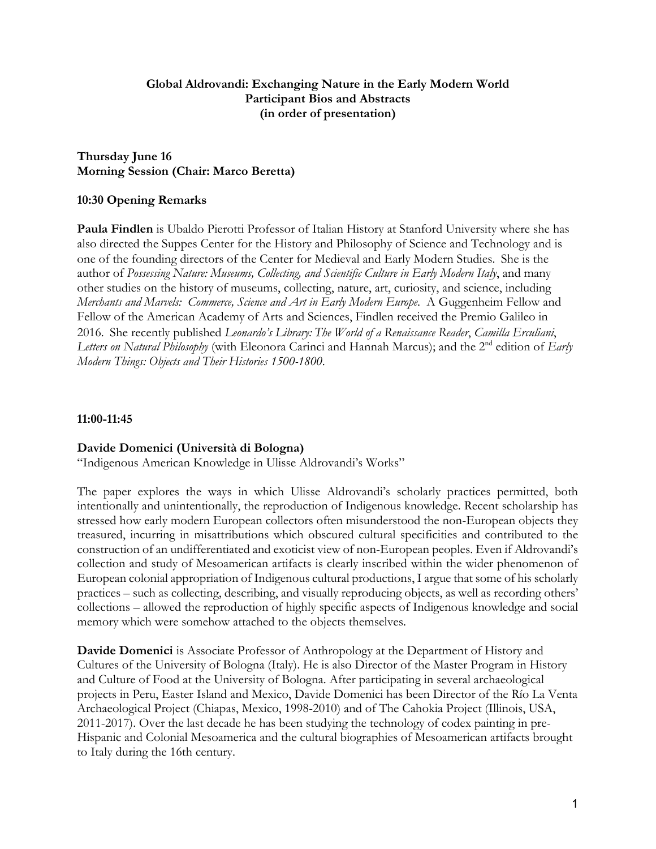# **Global Aldrovandi: Exchanging Nature in the Early Modern World Participant Bios and Abstracts (in order of presentation)**

# **Thursday June 16 Morning Session (Chair: Marco Beretta)**

# **10:30 Opening Remarks**

**Paula Findlen** is Ubaldo Pierotti Professor of Italian History at Stanford University where she has also directed the Suppes Center for the History and Philosophy of Science and Technology and is one of the founding directors of the Center for Medieval and Early Modern Studies. She is the author of *Possessing Nature: Museums, Collecting, and Scientific Culture in Early Modern Italy*, and many other studies on the history of museums, collecting, nature, art, curiosity, and science, including *Merchants and Marvels: Commerce, Science and Art in Early Modern Europe*. A Guggenheim Fellow and Fellow of the American Academy of Arts and Sciences, Findlen received the Premio Galileo in 2016. She recently published *Leonardo's Library: The World of a Renaissance Reader*, *Camilla Erculiani*, *Letters on Natural Philosophy* (with Eleonora Carinci and Hannah Marcus); and the 2<sup>nd</sup> edition of *Early Modern Things: Objects and Their Histories 1500-1800*.

### **11:00-11:45**

# **Davide Domenici (Università di Bologna)**

"Indigenous American Knowledge in Ulisse Aldrovandi's Works"

The paper explores the ways in which Ulisse Aldrovandi's scholarly practices permitted, both intentionally and unintentionally, the reproduction of Indigenous knowledge. Recent scholarship has stressed how early modern European collectors often misunderstood the non-European objects they treasured, incurring in misattributions which obscured cultural specificities and contributed to the construction of an undifferentiated and exoticist view of non-European peoples. Even if Aldrovandi's collection and study of Mesoamerican artifacts is clearly inscribed within the wider phenomenon of European colonial appropriation of Indigenous cultural productions, I argue that some of his scholarly practices – such as collecting, describing, and visually reproducing objects, as well as recording others' collections – allowed the reproduction of highly specific aspects of Indigenous knowledge and social memory which were somehow attached to the objects themselves.

**Davide Domenici** is Associate Professor of Anthropology at the Department of History and Cultures of the University of Bologna (Italy). He is also Director of the Master Program in History and Culture of Food at the University of Bologna. After participating in several archaeological projects in Peru, Easter Island and Mexico, Davide Domenici has been Director of the Río La Venta Archaeological Project (Chiapas, Mexico, 1998-2010) and of The Cahokia Project (Illinois, USA, 2011-2017). Over the last decade he has been studying the technology of codex painting in pre-Hispanic and Colonial Mesoamerica and the cultural biographies of Mesoamerican artifacts brought to Italy during the 16th century.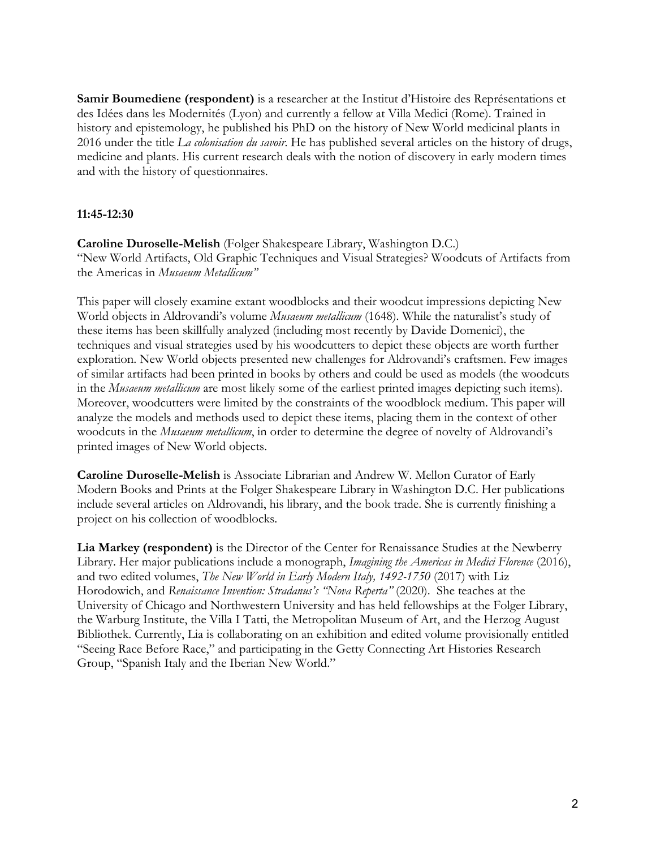**Samir Boumediene (respondent)** is a researcher at the Institut d'Histoire des Représentations et des Idées dans les Modernités (Lyon) and currently a fellow at Villa Medici (Rome). Trained in history and epistemology, he published his PhD on the history of New World medicinal plants in 2016 under the title *La colonisation du savoir*. He has published several articles on the history of drugs, medicine and plants. His current research deals with the notion of discovery in early modern times and with the history of questionnaires.

# **11:45-12:30**

**Caroline Duroselle-Melish** (Folger Shakespeare Library, Washington D.C.) "New World Artifacts, Old Graphic Techniques and Visual Strategies? Woodcuts of Artifacts from the Americas in *Musaeum Metallicum"*

This paper will closely examine extant woodblocks and their woodcut impressions depicting New World objects in Aldrovandi's volume *Musaeum metallicum* (1648). While the naturalist's study of these items has been skillfully analyzed (including most recently by Davide Domenici), the techniques and visual strategies used by his woodcutters to depict these objects are worth further exploration. New World objects presented new challenges for Aldrovandi's craftsmen. Few images of similar artifacts had been printed in books by others and could be used as models (the woodcuts in the *Musaeum metallicum* are most likely some of the earliest printed images depicting such items). Moreover, woodcutters were limited by the constraints of the woodblock medium. This paper will analyze the models and methods used to depict these items, placing them in the context of other woodcuts in the *Musaeum metallicum*, in order to determine the degree of novelty of Aldrovandi's printed images of New World objects.

**Caroline Duroselle-Melish** is Associate Librarian and Andrew W. Mellon Curator of Early Modern Books and Prints at the Folger Shakespeare Library in Washington D.C. Her publications include several articles on Aldrovandi, his library, and the book trade. She is currently finishing a project on his collection of woodblocks.

**Lia Markey (respondent)** is the Director of the Center for Renaissance Studies at the Newberry Library. Her major publications include a monograph, *Imagining the Americas in Medici Florence* (2016), and two edited volumes, *The New World in Early Modern Italy, 1492-1750* (2017) with Liz Horodowich, and *Renaissance Invention: Stradanus's "Nova Reperta"* (2020). She teaches at the University of Chicago and Northwestern University and has held fellowships at the Folger Library, the Warburg Institute, the Villa I Tatti, the Metropolitan Museum of Art, and the Herzog August Bibliothek. Currently, Lia is collaborating on an exhibition and edited volume provisionally entitled "Seeing Race Before Race," and participating in the Getty Connecting Art Histories Research Group, "Spanish Italy and the Iberian New World."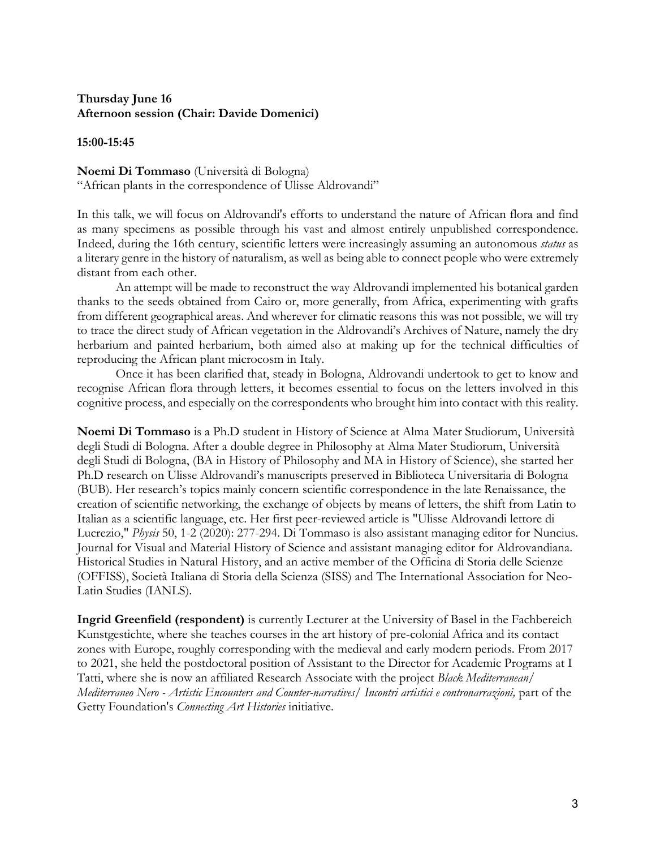# **Thursday June 16 Afternoon session (Chair: Davide Domenici)**

**15:00-15:45**

# **Noemi Di Tommaso** (Università di Bologna)

"African plants in the correspondence of Ulisse Aldrovandi"

In this talk, we will focus on Aldrovandi's efforts to understand the nature of African flora and find as many specimens as possible through his vast and almost entirely unpublished correspondence. Indeed, during the 16th century, scientific letters were increasingly assuming an autonomous *status* as a literary genre in the history of naturalism, as well as being able to connect people who were extremely distant from each other.

 An attempt will be made to reconstruct the way Aldrovandi implemented his botanical garden thanks to the seeds obtained from Cairo or, more generally, from Africa, experimenting with grafts from different geographical areas. And wherever for climatic reasons this was not possible, we will try to trace the direct study of African vegetation in the Aldrovandi's Archives of Nature, namely the dry herbarium and painted herbarium, both aimed also at making up for the technical difficulties of reproducing the African plant microcosm in Italy.

 Once it has been clarified that, steady in Bologna, Aldrovandi undertook to get to know and recognise African flora through letters, it becomes essential to focus on the letters involved in this cognitive process, and especially on the correspondents who brought him into contact with this reality.

**Noemi Di Tommaso** is a Ph.D student in History of Science at Alma Mater Studiorum, Università degli Studi di Bologna. After a double degree in Philosophy at Alma Mater Studiorum, Università degli Studi di Bologna, (BA in History of Philosophy and MA in History of Science), she started her Ph.D research on Ulisse Aldrovandi's manuscripts preserved in Biblioteca Universitaria di Bologna (BUB). Her research's topics mainly concern scientific correspondence in the late Renaissance, the creation of scientific networking, the exchange of objects by means of letters, the shift from Latin to Italian as a scientific language, etc. Her first peer-reviewed article is "Ulisse Aldrovandi lettore di Lucrezio," *Physis* 50, 1-2 (2020): 277-294. Di Tommaso is also assistant managing editor for Nuncius. Journal for Visual and Material History of Science and assistant managing editor for Aldrovandiana. Historical Studies in Natural History, and an active member of the Officina di Storia delle Scienze (OFFISS), Società Italiana di Storia della Scienza (SISS) and The International Association for Neo-Latin Studies (IANLS).

**Ingrid Greenfield (respondent)** is currently Lecturer at the University of Basel in the Fachbereich Kunstgestichte, where she teaches courses in the art history of pre-colonial Africa and its contact zones with Europe, roughly corresponding with the medieval and early modern periods. From 2017 to 2021, she held the postdoctoral position of Assistant to the Director for Academic Programs at I Tatti, where she is now an affiliated Research Associate with the project *Black Mediterranean/ Mediterraneo Nero - Artistic Encounters and Counter-narratives/ Incontri artistici e contronarrazioni,* part of the Getty Foundation's *Connecting Art Histories* initiative.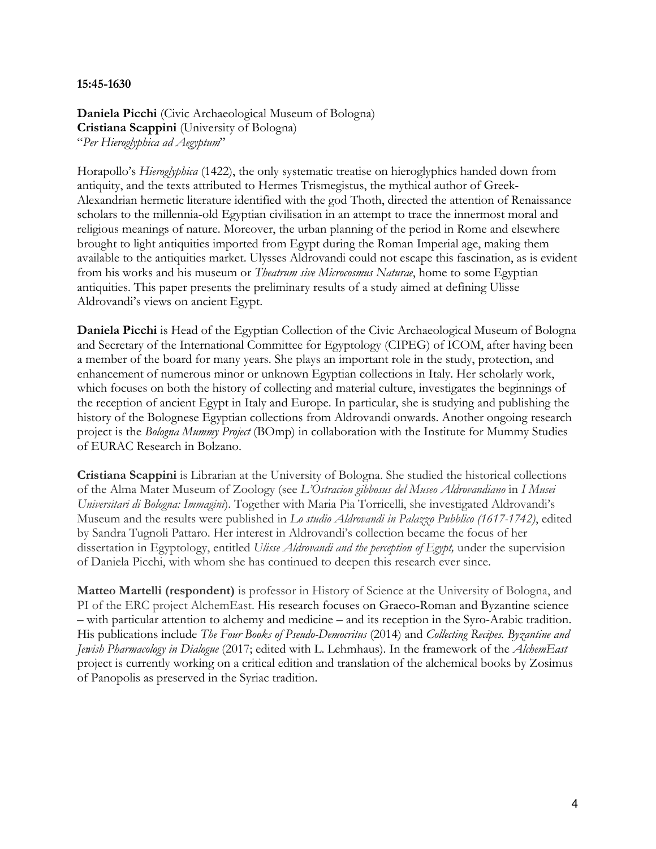#### **15:45-1630**

**Daniela Picchi** (Civic Archaeological Museum of Bologna) **Cristiana Scappini** (University of Bologna) "*Per Hieroglyphica ad Aegyptum*"

Horapollo's *Hieroglyphica* (1422), the only systematic treatise on hieroglyphics handed down from antiquity, and the texts attributed to Hermes Trismegistus, the mythical author of Greek-Alexandrian hermetic literature identified with the god Thoth, directed the attention of Renaissance scholars to the millennia-old Egyptian civilisation in an attempt to trace the innermost moral and religious meanings of nature. Moreover, the urban planning of the period in Rome and elsewhere brought to light antiquities imported from Egypt during the Roman Imperial age, making them available to the antiquities market. Ulysses Aldrovandi could not escape this fascination, as is evident from his works and his museum or *Theatrum sive Microcosmus Naturae*, home to some Egyptian antiquities. This paper presents the preliminary results of a study aimed at defining Ulisse Aldrovandi's views on ancient Egypt.

**Daniela Picchi** is Head of the Egyptian Collection of the Civic Archaeological Museum of Bologna and Secretary of the International Committee for Egyptology (CIPEG) of ICOM, after having been a member of the board for many years. She plays an important role in the study, protection, and enhancement of numerous minor or unknown Egyptian collections in Italy. Her scholarly work, which focuses on both the history of collecting and material culture, investigates the beginnings of the reception of ancient Egypt in Italy and Europe. In particular, she is studying and publishing the history of the Bolognese Egyptian collections from Aldrovandi onwards. Another ongoing research project is the *Bologna Mummy Project* (BOmp) in collaboration with the Institute for Mummy Studies of EURAC Research in Bolzano.

**Cristiana Scappini** is Librarian at the University of Bologna. She studied the historical collections of the Alma Mater Museum of Zoology (see *L'Ostracion gibbosus del Museo Aldrovandiano* in *I Musei Universitari di Bologna: Immagini*). Together with Maria Pia Torricelli, she investigated Aldrovandi's Museum and the results were published in *Lo studio Aldrovandi in Palazzo Pubblico (1617-1742)*, edited by Sandra Tugnoli Pattaro. Her interest in Aldrovandi's collection became the focus of her dissertation in Egyptology, entitled *Ulisse Aldrovandi and the perception of Egypt,* under the supervision of Daniela Picchi, with whom she has continued to deepen this research ever since.

**Matteo Martelli (respondent)** is professor in History of Science at the University of Bologna, and PI of the ERC project AlchemEast. His research focuses on Graeco-Roman and Byzantine science – with particular attention to alchemy and medicine – and its reception in the Syro-Arabic tradition. His publications include *The Four Books of Pseudo-Democritus* (2014) and *Collecting Recipes. Byzantine and Jewish Pharmacology in Dialogue* (2017; edited with L. Lehmhaus). In the framework of the *AlchemEast* project is currently working on a critical edition and translation of the alchemical books by Zosimus of Panopolis as preserved in the Syriac tradition.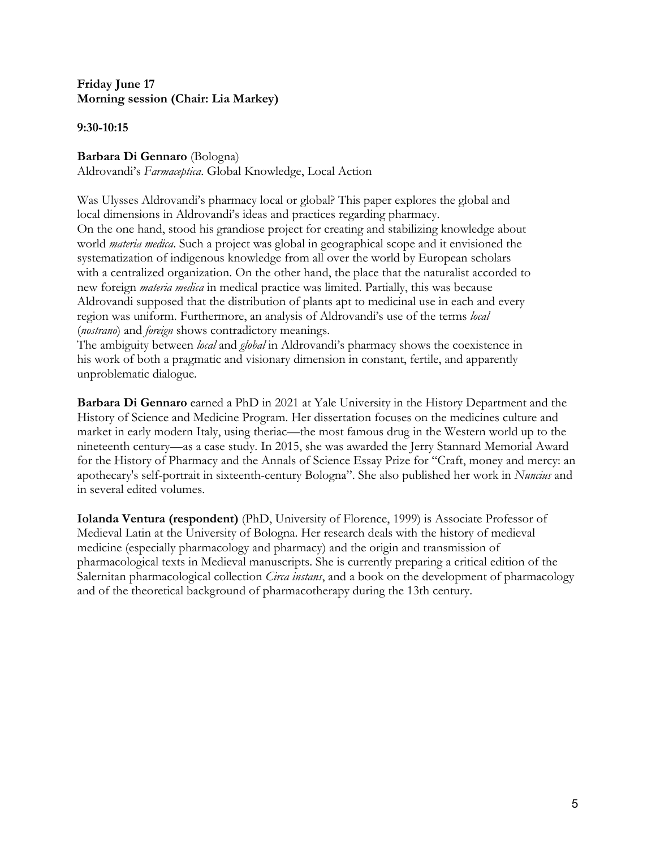# **Friday June 17 Morning session (Chair: Lia Markey)**

**9:30-10:15**

# **Barbara Di Gennaro** (Bologna)

Aldrovandi's *Farmaceptica*. Global Knowledge, Local Action

Was Ulysses Aldrovandi's pharmacy local or global? This paper explores the global and local dimensions in Aldrovandi's ideas and practices regarding pharmacy. On the one hand, stood his grandiose project for creating and stabilizing knowledge about world *materia medica*. Such a project was global in geographical scope and it envisioned the systematization of indigenous knowledge from all over the world by European scholars with a centralized organization. On the other hand, the place that the naturalist accorded to new foreign *materia medica* in medical practice was limited. Partially, this was because Aldrovandi supposed that the distribution of plants apt to medicinal use in each and every region was uniform. Furthermore, an analysis of Aldrovandi's use of the terms *local* (*nostrano*) and *foreign* shows contradictory meanings.

The ambiguity between *local* and *global* in Aldrovandi's pharmacy shows the coexistence in his work of both a pragmatic and visionary dimension in constant, fertile, and apparently unproblematic dialogue.

**Barbara Di Gennaro** earned a PhD in 2021 at Yale University in the History Department and the History of Science and Medicine Program. Her dissertation focuses on the medicines culture and market in early modern Italy, using theriac—the most famous drug in the Western world up to the nineteenth century—as a case study. In 2015, she was awarded the Jerry Stannard Memorial Award for the History of Pharmacy and the Annals of Science Essay Prize for "Craft, money and mercy: an apothecary's self-portrait in sixteenth-century Bologna". She also published her work in *Nuncius* and in several edited volumes.

**Iolanda Ventura (respondent)** (PhD, University of Florence, 1999) is Associate Professor of Medieval Latin at the University of Bologna. Her research deals with the history of medieval medicine (especially pharmacology and pharmacy) and the origin and transmission of pharmacological texts in Medieval manuscripts. She is currently preparing a critical edition of the Salernitan pharmacological collection *Circa instans*, and a book on the development of pharmacology and of the theoretical background of pharmacotherapy during the 13th century.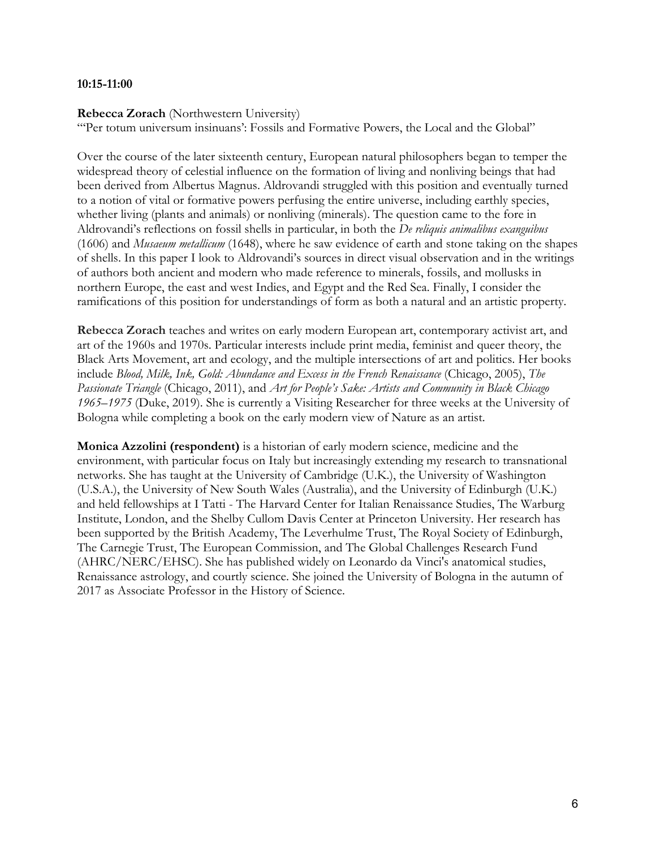### **10:15-11:00**

#### **Rebecca Zorach** (Northwestern University)

"'Per totum universum insinuans': Fossils and Formative Powers, the Local and the Global"

Over the course of the later sixteenth century, European natural philosophers began to temper the widespread theory of celestial influence on the formation of living and nonliving beings that had been derived from Albertus Magnus. Aldrovandi struggled with this position and eventually turned to a notion of vital or formative powers perfusing the entire universe, including earthly species, whether living (plants and animals) or nonliving (minerals). The question came to the fore in Aldrovandi's reflections on fossil shells in particular, in both the *De reliquis animalibus exanguibus* (1606) and *Musaeum metallicum* (1648), where he saw evidence of earth and stone taking on the shapes of shells. In this paper I look to Aldrovandi's sources in direct visual observation and in the writings of authors both ancient and modern who made reference to minerals, fossils, and mollusks in northern Europe, the east and west Indies, and Egypt and the Red Sea. Finally, I consider the ramifications of this position for understandings of form as both a natural and an artistic property.

**Rebecca Zorach** teaches and writes on early modern European art, contemporary activist art, and art of the 1960s and 1970s. Particular interests include print media, feminist and queer theory, the Black Arts Movement, art and ecology, and the multiple intersections of art and politics. Her books include *Blood, Milk, Ink, Gold: Abundance and Excess in the French Renaissance* (Chicago, 2005), *The Passionate Triangle* (Chicago, 2011), and *Art for People's Sake: Artists and Community in Black Chicago 1965–1975* (Duke, 2019). She is currently a Visiting Researcher for three weeks at the University of Bologna while completing a book on the early modern view of Nature as an artist.

**Monica Azzolini (respondent)** is a historian of early modern science, medicine and the environment, with particular focus on Italy but increasingly extending my research to transnational networks. She has taught at the University of Cambridge (U.K.), the University of Washington (U.S.A.), the University of New South Wales (Australia), and the University of Edinburgh (U.K.) and held fellowships at I Tatti - The Harvard Center for Italian Renaissance Studies, The Warburg Institute, London, and the Shelby Cullom Davis Center at Princeton University. Her research has been supported by the British Academy, The Leverhulme Trust, The Royal Society of Edinburgh, The Carnegie Trust, The European Commission, and The Global Challenges Research Fund (AHRC/NERC/EHSC). She has published widely on Leonardo da Vinci's anatomical studies, Renaissance astrology, and courtly science. She joined the University of Bologna in the autumn of 2017 as Associate Professor in the History of Science.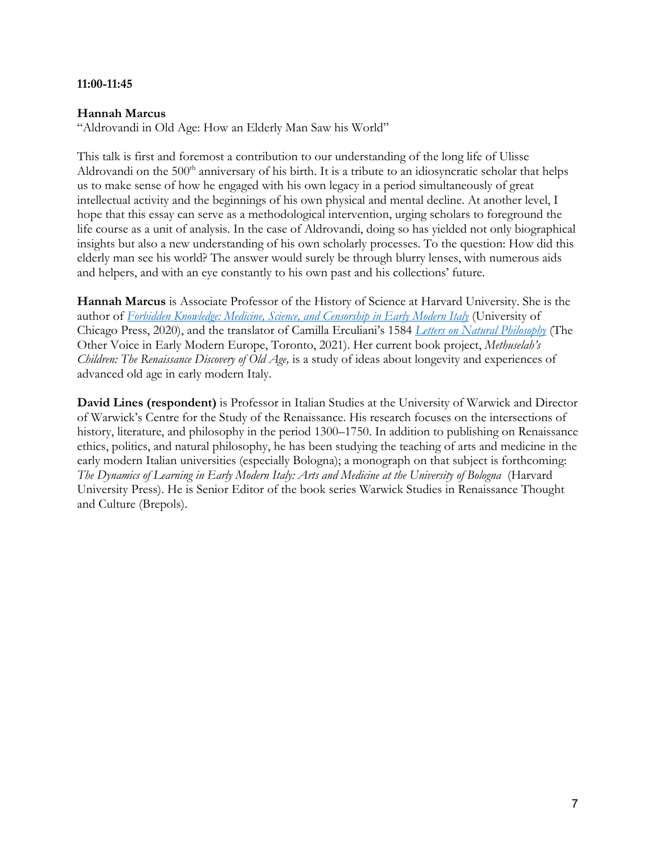### **11:00-11:45**

# **Hannah Marcus**

"Aldrovandi in Old Age: How an Elderly Man Saw his World"

This talk is first and foremost a contribution to our understanding of the long life of Ulisse Aldrovandi on the  $500<sup>th</sup>$  anniversary of his birth. It is a tribute to an idiosyncratic scholar that helps us to make sense of how he engaged with his own legacy in a period simultaneously of great intellectual activity and the beginnings of his own physical and mental decline. At another level, I hope that this essay can serve as a methodological intervention, urging scholars to foreground the life course as a unit of analysis. In the case of Aldrovandi, doing so has yielded not only biographical insights but also a new understanding of his own scholarly processes. To the question: How did this elderly man see his world? The answer would surely be through blurry lenses, with numerous aids and helpers, and with an eye constantly to his own past and his collections' future.

**Hannah Marcus** is Associate Professor of the History of Science at Harvard University. She is the author of *Forbidden Knowledge: Medicine, Science, and Censorship in Early Modern Italy* (University of Chicago Press, 2020), and the translator of Camilla Erculiani's 1584 *Letters on Natural Philosophy* (The Other Voice in Early Modern Europe, Toronto, 2021). Her current book project, *Methuselah's Children: The Renaissance Discovery of Old Age,* is a study of ideas about longevity and experiences of advanced old age in early modern Italy.

**David Lines (respondent)** is Professor in Italian Studies at the University of Warwick and Director of Warwick's Centre for the Study of the Renaissance. His research focuses on the intersections of history, literature, and philosophy in the period 1300–1750. In addition to publishing on Renaissance ethics, politics, and natural philosophy, he has been studying the teaching of arts and medicine in the early modern Italian universities (especially Bologna); a monograph on that subject is forthcoming: *The Dynamics of Learning in Early Modern Italy: Arts and Medicine at the University of Bologna* (Harvard University Press). He is Senior Editor of the book series Warwick Studies in Renaissance Thought and Culture (Brepols).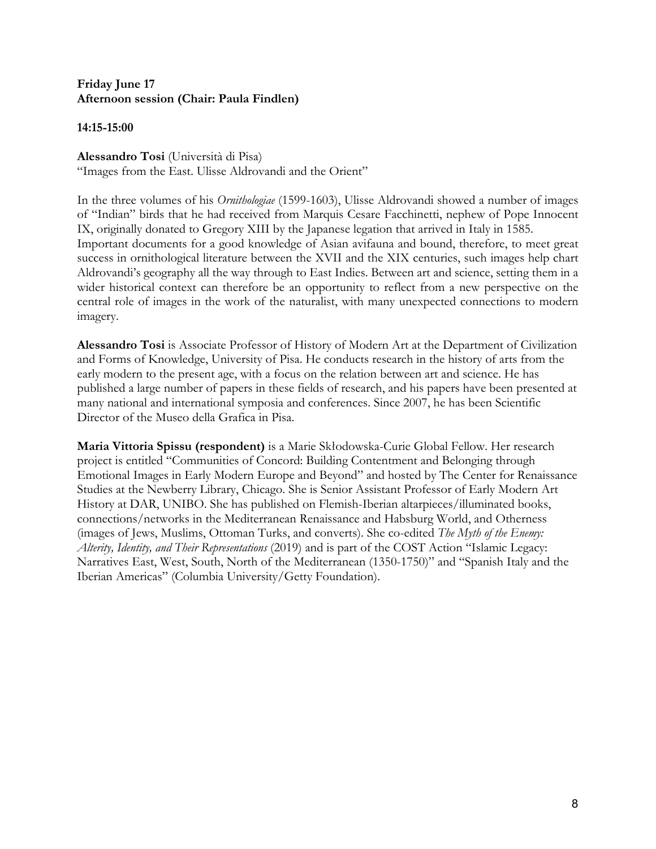# **Friday June 17 Afternoon session (Chair: Paula Findlen)**

**14:15-15:00**

**Alessandro Tosi** (Università di Pisa)

"Images from the East. Ulisse Aldrovandi and the Orient"

In the three volumes of his *Ornithologiae* (1599-1603), Ulisse Aldrovandi showed a number of images of "Indian" birds that he had received from Marquis Cesare Facchinetti, nephew of Pope Innocent IX, originally donated to Gregory XIII by the Japanese legation that arrived in Italy in 1585. Important documents for a good knowledge of Asian avifauna and bound, therefore, to meet great success in ornithological literature between the XVII and the XIX centuries, such images help chart Aldrovandi's geography all the way through to East Indies. Between art and science, setting them in a wider historical context can therefore be an opportunity to reflect from a new perspective on the central role of images in the work of the naturalist, with many unexpected connections to modern imagery.

**Alessandro Tosi** is Associate Professor of History of Modern Art at the Department of Civilization and Forms of Knowledge, University of Pisa. He conducts research in the history of arts from the early modern to the present age, with a focus on the relation between art and science. He has published a large number of papers in these fields of research, and his papers have been presented at many national and international symposia and conferences. Since 2007, he has been Scientific Director of the Museo della Grafica in Pisa.

**Maria Vittoria Spissu (respondent)** is a Marie Skłodowska-Curie Global Fellow. Her research project is entitled "Communities of Concord: Building Contentment and Belonging through Emotional Images in Early Modern Europe and Beyond" and hosted by The Center for Renaissance Studies at the Newberry Library, Chicago. She is Senior Assistant Professor of Early Modern Art History at DAR, UNIBO. She has published on Flemish-Iberian altarpieces/illuminated books, connections/networks in the Mediterranean Renaissance and Habsburg World, and Otherness (images of Jews, Muslims, Ottoman Turks, and converts). She co-edited *The Myth of the Enemy: Alterity, Identity, and Their Representations* (2019) and is part of the COST Action "Islamic Legacy: Narratives East, West, South, North of the Mediterranean (1350-1750)" and "Spanish Italy and the Iberian Americas" (Columbia University/Getty Foundation).